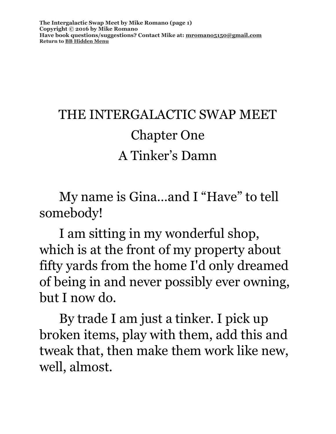# THE INTERGALACTIC SWAP MEET Chapter One A Tinker's Damn

My name is Gina…and I "Have" to tell somebody!

I am sitting in my wonderful shop, which is at the front of my property about fifty yards from the home I'd only dreamed of being in and never possibly ever owning, but I now do.

By trade I am just a tinker. I pick up broken items, play with them, add this and tweak that, then make them work like new, well, almost.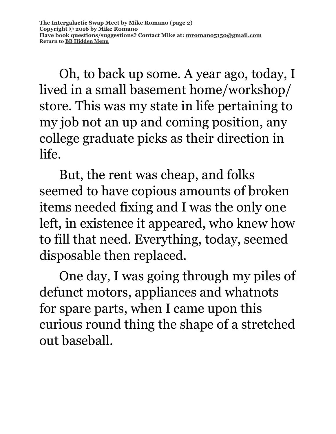Oh, to back up some. A year ago, today, I lived in a small basement home/workshop/ store. This was my state in life pertaining to my job not an up and coming position, any college graduate picks as their direction in life.

But, the rent was cheap, and folks seemed to have copious amounts of broken items needed fixing and I was the only one left, in existence it appeared, who knew how to fill that need. Everything, today, seemed disposable then replaced.

One day, I was going through my piles of defunct motors, appliances and whatnots for spare parts, when I came upon this curious round thing the shape of a stretched out baseball.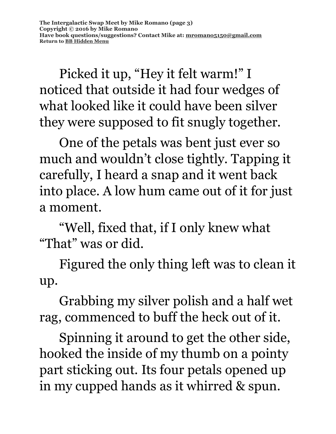Picked it up, "Hey it felt warm!" I noticed that outside it had four wedges of what looked like it could have been silver they were supposed to fit snugly together.

One of the petals was bent just ever so much and wouldn't close tightly. Tapping it carefully, I heard a snap and it went back into place. A low hum came out of it for just a moment.

"Well, fixed that, if I only knew what "That" was or did.

Figured the only thing left was to clean it up.

Grabbing my silver polish and a half wet rag, commenced to buff the heck out of it.

Spinning it around to get the other side, hooked the inside of my thumb on a pointy part sticking out. Its four petals opened up in my cupped hands as it whirred & spun.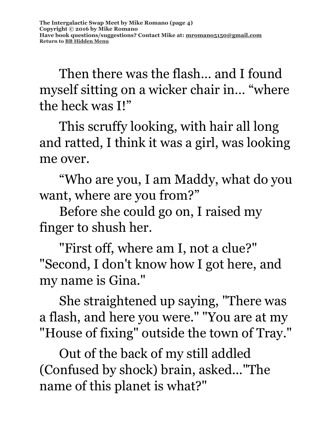Then there was the flash… and I found myself sitting on a wicker chair in… "where the heck was I!"

This scruffy looking, with hair all long and ratted, I think it was a girl, was looking me over.

"Who are you, I am Maddy, what do you want, where are you from?"

Before she could go on, I raised my finger to shush her.

"First off, where am I, not a clue?" "Second, I don't know how I got here, and my name is Gina."

She straightened up saying, "There was a flash, and here you were." "You are at my "House of fixing" outside the town of Tray."

Out of the back of my still addled (Confused by shock) brain, asked..."The name of this planet is what?"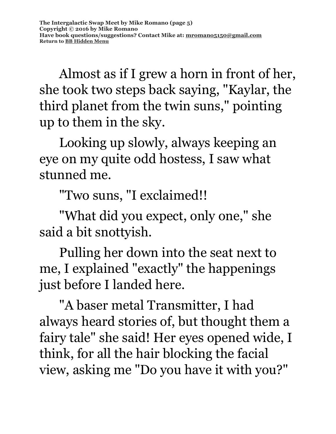Almost as if I grew a horn in front of her, she took two steps back saying, "Kaylar, the third planet from the twin suns," pointing up to them in the sky.

Looking up slowly, always keeping an eye on my quite odd hostess, I saw what stunned me.

"Two suns, "I exclaimed!!

"What did you expect, only one," she said a bit snottyish.

Pulling her down into the seat next to me, I explained "exactly" the happenings just before I landed here.

"A baser metal Transmitter, I had always heard stories of, but thought them a fairy tale" she said! Her eyes opened wide, I think, for all the hair blocking the facial view, asking me "Do you have it with you?"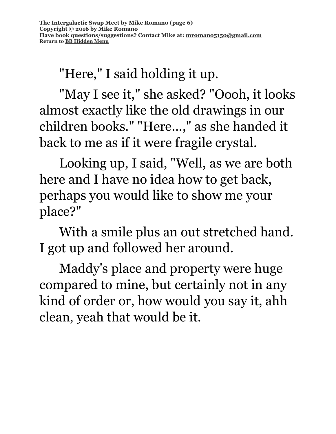"Here," I said holding it up.

"May I see it," she asked? "Oooh, it looks almost exactly like the old drawings in our children books." "Here...," as she handed it back to me as if it were fragile crystal.

Looking up, I said, "Well, as we are both here and I have no idea how to get back, perhaps you would like to show me your place?"

With a smile plus an out stretched hand. I got up and followed her around.

Maddy's place and property were huge compared to mine, but certainly not in any kind of order or, how would you say it, ahh clean, yeah that would be it.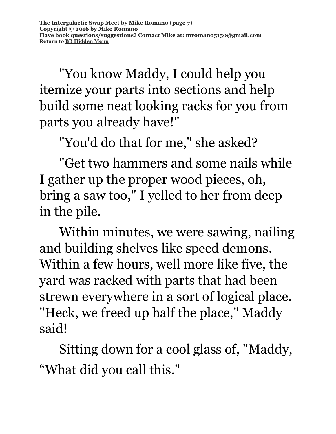"You know Maddy, I could help you itemize your parts into sections and help build some neat looking racks for you from parts you already have!"

"You'd do that for me," she asked?

"Get two hammers and some nails while I gather up the proper wood pieces, oh, bring a saw too," I yelled to her from deep in the pile.

Within minutes, we were sawing, nailing and building shelves like speed demons. Within a few hours, well more like five, the yard was racked with parts that had been strewn everywhere in a sort of logical place. "Heck, we freed up half the place," Maddy said!

Sitting down for a cool glass of, "Maddy, "What did you call this."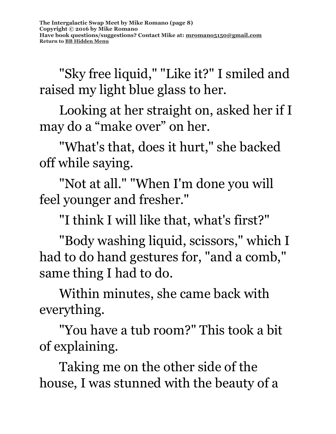"Sky free liquid," "Like it?" I smiled and raised my light blue glass to her.

Looking at her straight on, asked her if I may do a "make over" on her.

"What's that, does it hurt," she backed off while saying.

"Not at all." "When I'm done you will feel younger and fresher."

"I think I will like that, what's first?"

 "Body washing liquid, scissors," which I had to do hand gestures for, "and a comb," same thing I had to do.

Within minutes, she came back with everything.

"You have a tub room?" This took a bit of explaining.

Taking me on the other side of the house, I was stunned with the beauty of a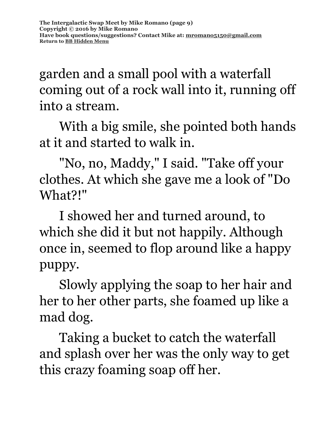garden and a small pool with a waterfall coming out of a rock wall into it, running off into a stream.

With a big smile, she pointed both hands at it and started to walk in.

"No, no, Maddy," I said. "Take off your clothes. At which she gave me a look of "Do What?!"

I showed her and turned around, to which she did it but not happily. Although once in, seemed to flop around like a happy puppy.

Slowly applying the soap to her hair and her to her other parts, she foamed up like a mad dog.

Taking a bucket to catch the waterfall and splash over her was the only way to get this crazy foaming soap off her.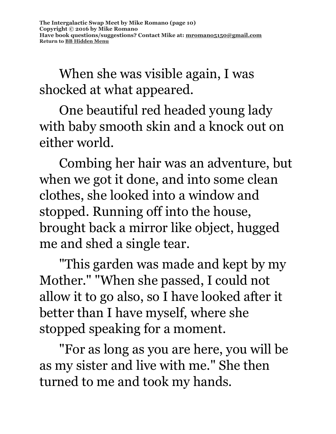When she was visible again, I was shocked at what appeared.

One beautiful red headed young lady with baby smooth skin and a knock out on either world.

Combing her hair was an adventure, but when we got it done, and into some clean clothes, she looked into a window and stopped. Running off into the house, brought back a mirror like object, hugged me and shed a single tear.

"This garden was made and kept by my Mother." "When she passed, I could not allow it to go also, so I have looked after it better than I have myself, where she stopped speaking for a moment.

"For as long as you are here, you will be as my sister and live with me." She then turned to me and took my hands.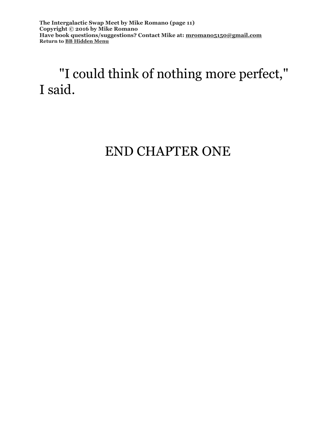**The Intergalactic Swap Meet by Mike Romano (page 11) Copyright © 2016 by Mike Romano Have book questions/suggestions? Contact Mike at: [mromano5150@gmail.com](mailto:mromano5150@gmail.com) Return t[o BB Hidden Menu](https://www.bartlettbiographies.com/hidden-menu)**

## "I could think of nothing more perfect," I said.

## END CHAPTER ONE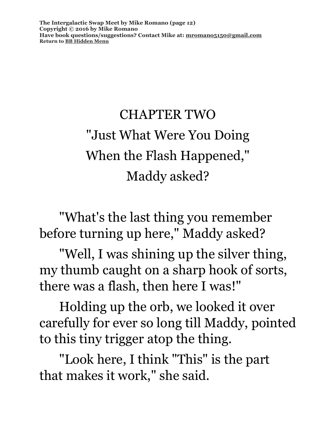**The Intergalactic Swap Meet by Mike Romano (page 12) Copyright © 2016 by Mike Romano Have book questions/suggestions? Contact Mike at: [mromano5150@gmail.com](mailto:mromano5150@gmail.com) Return t[o BB Hidden Menu](https://www.bartlettbiographies.com/hidden-menu)**

# CHAPTER TWO "Just What Were You Doing When the Flash Happened," Maddy asked?

"What's the last thing you remember before turning up here," Maddy asked?

"Well, I was shining up the silver thing, my thumb caught on a sharp hook of sorts, there was a flash, then here I was!"

Holding up the orb, we looked it over carefully for ever so long till Maddy, pointed to this tiny trigger atop the thing.

"Look here, I think "This" is the part that makes it work," she said.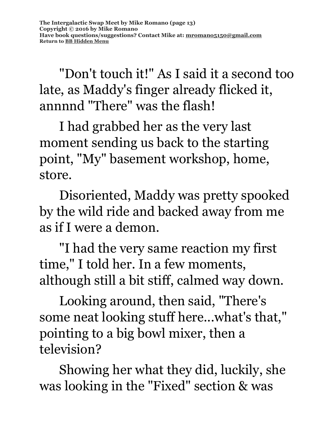"Don't touch it!" As I said it a second too late, as Maddy's finger already flicked it, annnnd "There" was the flash!

I had grabbed her as the very last moment sending us back to the starting point, "My" basement workshop, home, store.

Disoriented, Maddy was pretty spooked by the wild ride and backed away from me as if I were a demon.

"I had the very same reaction my first time," I told her. In a few moments, although still a bit stiff, calmed way down.

Looking around, then said, "There's some neat looking stuff here...what's that," pointing to a big bowl mixer, then a television?

Showing her what they did, luckily, she was looking in the "Fixed" section & was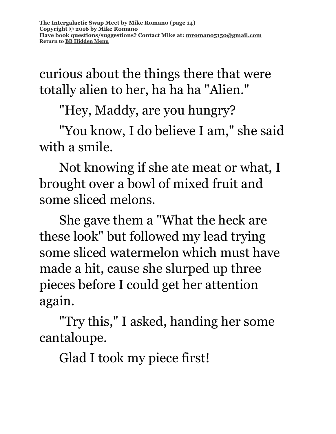curious about the things there that were totally alien to her, ha ha ha "Alien."

"Hey, Maddy, are you hungry?

"You know, I do believe I am," she said with a smile.

Not knowing if she ate meat or what, I brought over a bowl of mixed fruit and some sliced melons.

She gave them a "What the heck are these look" but followed my lead trying some sliced watermelon which must have made a hit, cause she slurped up three pieces before I could get her attention again.

"Try this," I asked, handing her some cantaloupe.

Glad I took my piece first!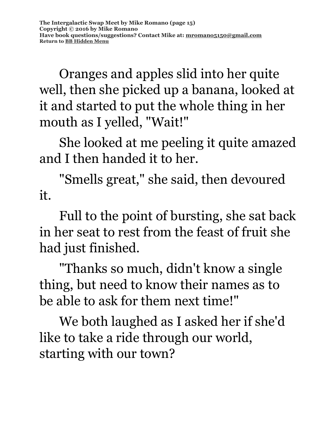Oranges and apples slid into her quite well, then she picked up a banana, looked at it and started to put the whole thing in her mouth as I yelled, "Wait!"

She looked at me peeling it quite amazed and I then handed it to her.

"Smells great," she said, then devoured it.

Full to the point of bursting, she sat back in her seat to rest from the feast of fruit she had just finished.

"Thanks so much, didn't know a single thing, but need to know their names as to be able to ask for them next time!"

We both laughed as I asked her if she'd like to take a ride through our world, starting with our town?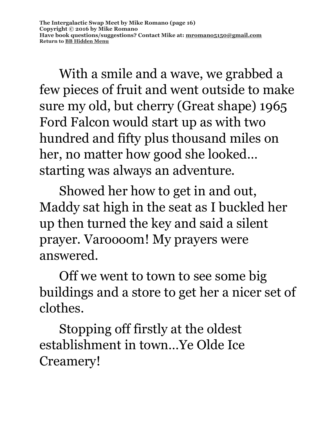With a smile and a wave, we grabbed a few pieces of fruit and went outside to make sure my old, but cherry (Great shape) 1965 Ford Falcon would start up as with two hundred and fifty plus thousand miles on her, no matter how good she looked… starting was always an adventure.

Showed her how to get in and out, Maddy sat high in the seat as I buckled her up then turned the key and said a silent prayer. Varoooom! My prayers were answered.

Off we went to town to see some big buildings and a store to get her a nicer set of clothes.

Stopping off firstly at the oldest establishment in town…Ye Olde Ice Creamery!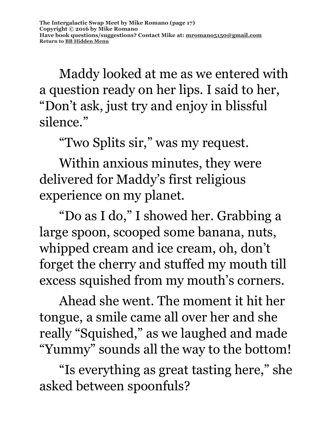Maddy looked at me as we entered with a question ready on her lips. I said to her, "Don't ask, just try and enjoy in blissful silence."

"Two Splits sir," was my request.

Within anxious minutes, they were delivered for Maddy's first religious experience on my planet.

"Do as I do," I showed her. Grabbing a large spoon, scooped some banana, nuts, whipped cream and ice cream, oh, don't forget the cherry and stuffed my mouth till excess squished from my mouth's corners.

Ahead she went. The moment it hit her tongue, a smile came all over her and she really "Squished," as we laughed and made "Yummy" sounds all the way to the bottom!

"Is everything as great tasting here," she asked between spoonfuls?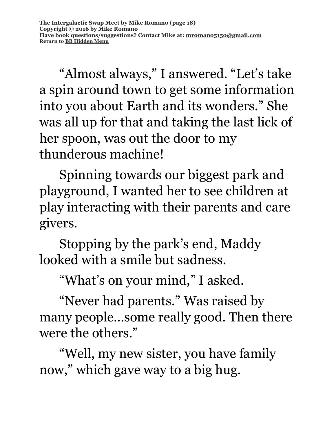"Almost always," I answered. "Let's take a spin around town to get some information into you about Earth and its wonders." She was all up for that and taking the last lick of her spoon, was out the door to my thunderous machine!

Spinning towards our biggest park and playground, I wanted her to see children at play interacting with their parents and care givers.

Stopping by the park's end, Maddy looked with a smile but sadness.

"What's on your mind," I asked.

"Never had parents." Was raised by many people…some really good. Then there were the others."

"Well, my new sister, you have family now," which gave way to a big hug.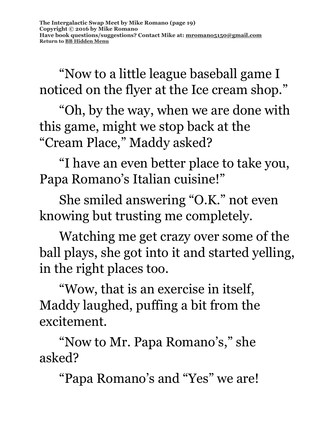"Now to a little league baseball game I noticed on the flyer at the Ice cream shop."

"Oh, by the way, when we are done with this game, might we stop back at the "Cream Place," Maddy asked?

"I have an even better place to take you, Papa Romano's Italian cuisine!"

She smiled answering "O.K." not even knowing but trusting me completely.

Watching me get crazy over some of the ball plays, she got into it and started yelling, in the right places too.

"Wow, that is an exercise in itself, Maddy laughed, puffing a bit from the excitement.

"Now to Mr. Papa Romano's," she asked?

"Papa Romano's and "Yes" we are!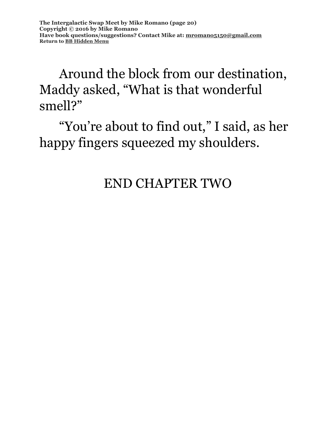## Around the block from our destination, Maddy asked, "What is that wonderful smell?"

"You're about to find out," I said, as her happy fingers squeezed my shoulders.

### END CHAPTER TWO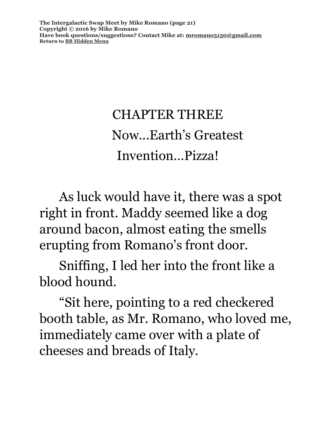**The Intergalactic Swap Meet by Mike Romano (page 21) Copyright © 2016 by Mike Romano Have book questions/suggestions? Contact Mike at: [mromano5150@gmail.com](mailto:mromano5150@gmail.com) Return t[o BB Hidden Menu](https://www.bartlettbiographies.com/hidden-menu)**

# CHAPTER THREE Now...Earth's Greatest Invention…Pizza!

As luck would have it, there was a spot right in front. Maddy seemed like a dog around bacon, almost eating the smells erupting from Romano's front door.

Sniffing, I led her into the front like a blood hound.

"Sit here, pointing to a red checkered booth table, as Mr. Romano, who loved me, immediately came over with a plate of cheeses and breads of Italy.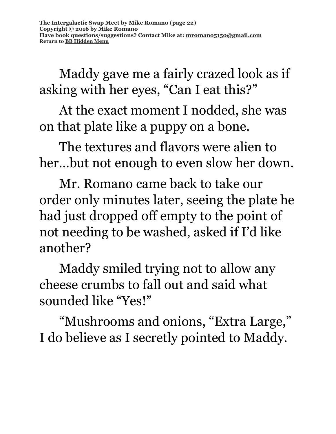Maddy gave me a fairly crazed look as if asking with her eyes, "Can I eat this?"

At the exact moment I nodded, she was on that plate like a puppy on a bone.

The textures and flavors were alien to her…but not enough to even slow her down.

Mr. Romano came back to take our order only minutes later, seeing the plate he had just dropped off empty to the point of not needing to be washed, asked if I'd like another?

Maddy smiled trying not to allow any cheese crumbs to fall out and said what sounded like "Yes!"

"Mushrooms and onions, "Extra Large," I do believe as I secretly pointed to Maddy.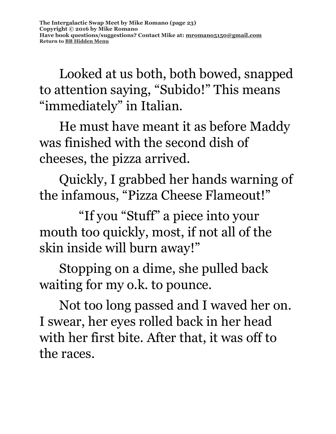Looked at us both, both bowed, snapped to attention saying, "Subido!" This means "immediately" in Italian.

He must have meant it as before Maddy was finished with the second dish of cheeses, the pizza arrived.

Quickly, I grabbed her hands warning of the infamous, "Pizza Cheese Flameout!"

"If you "Stuff" a piece into your mouth too quickly, most, if not all of the skin inside will burn away!"

Stopping on a dime, she pulled back waiting for my o.k. to pounce.

Not too long passed and I waved her on. I swear, her eyes rolled back in her head with her first bite. After that, it was off to the races.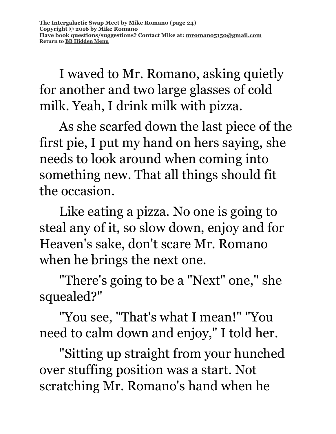I waved to Mr. Romano, asking quietly for another and two large glasses of cold milk. Yeah, I drink milk with pizza.

As she scarfed down the last piece of the first pie, I put my hand on hers saying, she needs to look around when coming into something new. That all things should fit the occasion.

Like eating a pizza. No one is going to steal any of it, so slow down, enjoy and for Heaven's sake, don't scare Mr. Romano when he brings the next one.

"There's going to be a "Next" one," she squealed?"

"You see, "That's what I mean!" "You need to calm down and enjoy," I told her.

"Sitting up straight from your hunched over stuffing position was a start. Not scratching Mr. Romano's hand when he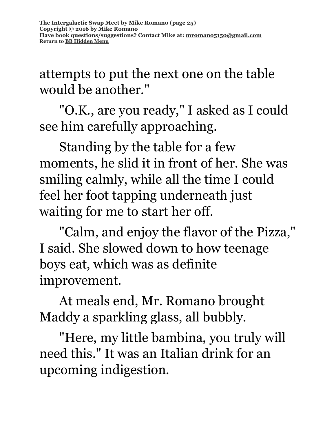attempts to put the next one on the table would be another."

"O.K., are you ready," I asked as I could see him carefully approaching.

Standing by the table for a few moments, he slid it in front of her. She was smiling calmly, while all the time I could feel her foot tapping underneath just waiting for me to start her off.

"Calm, and enjoy the flavor of the Pizza," I said. She slowed down to how teenage boys eat, which was as definite improvement.

At meals end, Mr. Romano brought Maddy a sparkling glass, all bubbly.

"Here, my little bambina, you truly will need this." It was an Italian drink for an upcoming indigestion.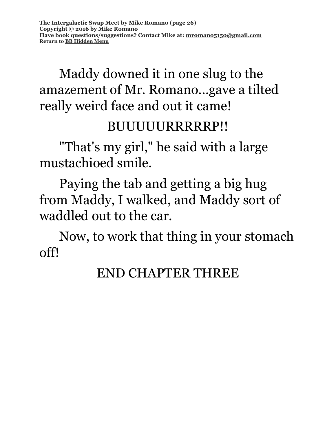## Maddy downed it in one slug to the amazement of Mr. Romano...gave a tilted really weird face and out it came!

#### BUUUUURRRRRP!!

"That's my girl," he said with a large mustachioed smile.

Paying the tab and getting a big hug from Maddy, I walked, and Maddy sort of waddled out to the car.

Now, to work that thing in your stomach off!

### END CHAPTER THREE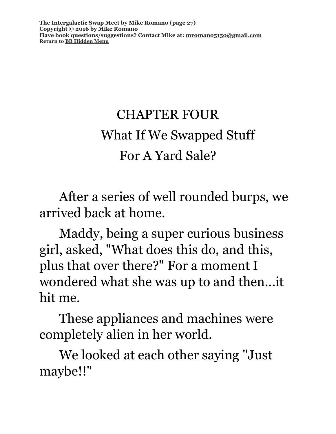**The Intergalactic Swap Meet by Mike Romano (page 27) Copyright © 2016 by Mike Romano Have book questions/suggestions? Contact Mike at: [mromano5150@gmail.com](mailto:mromano5150@gmail.com) Return t[o BB Hidden Menu](https://www.bartlettbiographies.com/hidden-menu)**

# CHAPTER FOUR What If We Swapped Stuff For A Yard Sale?

After a series of well rounded burps, we arrived back at home.

Maddy, being a super curious business girl, asked, "What does this do, and this, plus that over there?" For a moment I wondered what she was up to and then...it hit me.

These appliances and machines were completely alien in her world.

We looked at each other saying "Just maybe!!"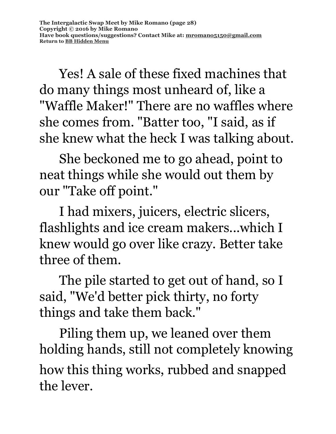Yes! A sale of these fixed machines that do many things most unheard of, like a "Waffle Maker!" There are no waffles where she comes from. "Batter too, "I said, as if she knew what the heck I was talking about.

She beckoned me to go ahead, point to neat things while she would out them by our "Take off point."

I had mixers, juicers, electric slicers, flashlights and ice cream makers...which I knew would go over like crazy. Better take three of them.

The pile started to get out of hand, so I said, "We'd better pick thirty, no forty things and take them back."

Piling them up, we leaned over them holding hands, still not completely knowing how this thing works, rubbed and snapped the lever.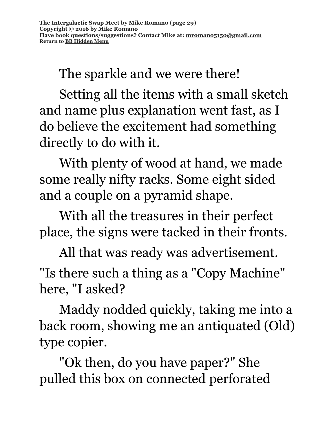The sparkle and we were there!

Setting all the items with a small sketch and name plus explanation went fast, as I do believe the excitement had something directly to do with it.

 With plenty of wood at hand, we made some really nifty racks. Some eight sided and a couple on a pyramid shape.

With all the treasures in their perfect place, the signs were tacked in their fronts.

All that was ready was advertisement. "Is there such a thing as a "Copy Machine" here, "I asked?

Maddy nodded quickly, taking me into a back room, showing me an antiquated (Old) type copier.

"Ok then, do you have paper?" She pulled this box on connected perforated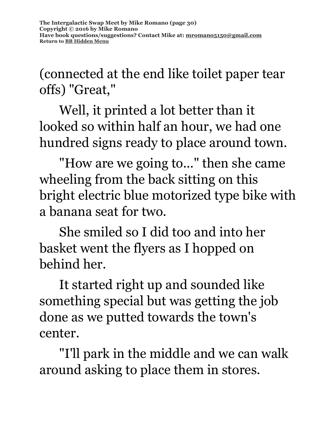**The Intergalactic Swap Meet by Mike Romano (page 30) Copyright © 2016 by Mike Romano Have book questions/suggestions? Contact Mike at: [mromano5150@gmail.com](mailto:mromano5150@gmail.com) Return t[o BB Hidden Menu](https://www.bartlettbiographies.com/hidden-menu)**

(connected at the end like toilet paper tear offs) "Great,"

Well, it printed a lot better than it looked so within half an hour, we had one hundred signs ready to place around town.

"How are we going to..." then she came wheeling from the back sitting on this bright electric blue motorized type bike with a banana seat for two.

She smiled so I did too and into her basket went the flyers as I hopped on behind her.

It started right up and sounded like something special but was getting the job done as we putted towards the town's center.

"I'll park in the middle and we can walk around asking to place them in stores.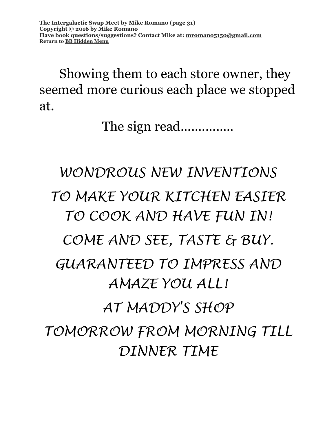Showing them to each store owner, they seemed more curious each place we stopped at.

The sign read................

# *WONDROUS NEW INVENTIONS TO MAKE YOUR KITCHEN EASIER TO COOK AND HAVE FUN IN! COME AND SEE, TASTE & BUY. GUARANTEED TO IMPRESS AND AMAZE YOU ALL! AT MADDY'S SHOP TOMORROW FROM MORNING TILL DINNER TIME*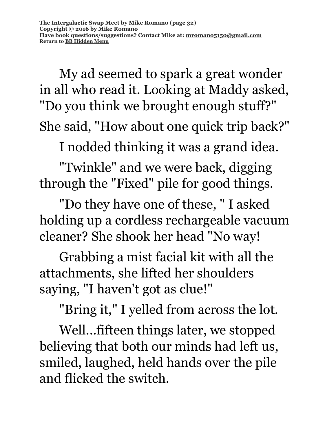My ad seemed to spark a great wonder in all who read it. Looking at Maddy asked, "Do you think we brought enough stuff?" She said, "How about one quick trip back?"

I nodded thinking it was a grand idea.

"Twinkle" and we were back, digging through the "Fixed" pile for good things.

"Do they have one of these, " I asked holding up a cordless rechargeable vacuum cleaner? She shook her head "No way!

Grabbing a mist facial kit with all the attachments, she lifted her shoulders saying, "I haven't got as clue!"

"Bring it," I yelled from across the lot.

Well...fifteen things later, we stopped believing that both our minds had left us, smiled, laughed, held hands over the pile and flicked the switch.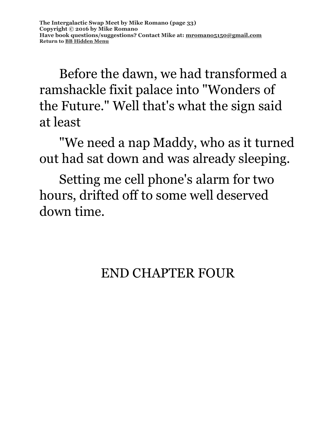Before the dawn, we had transformed a ramshackle fixit palace into "Wonders of the Future." Well that's what the sign said at least

"We need a nap Maddy, who as it turned out had sat down and was already sleeping.

Setting me cell phone's alarm for two hours, drifted off to some well deserved down time.

## END CHAPTER FOUR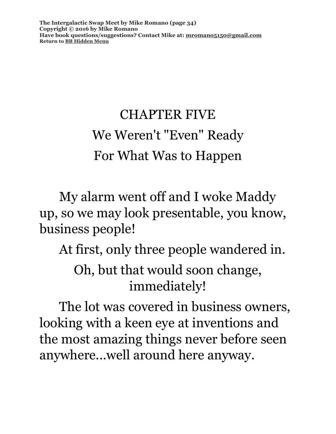**The Intergalactic Swap Meet by Mike Romano (page 34) Copyright © 2016 by Mike Romano Have book questions/suggestions? Contact Mike at: [mromano5150@gmail.com](mailto:mromano5150@gmail.com) Return t[o BB Hidden Menu](https://www.bartlettbiographies.com/hidden-menu)**

## CHAPTER FIVE We Weren't "Even" Ready For What Was to Happen

My alarm went off and I woke Maddy up, so we may look presentable, you know, business people!

At first, only three people wandered in. Oh, but that would soon change, immediately!

The lot was covered in business owners, looking with a keen eye at inventions and the most amazing things never before seen anywhere...well around here anyway.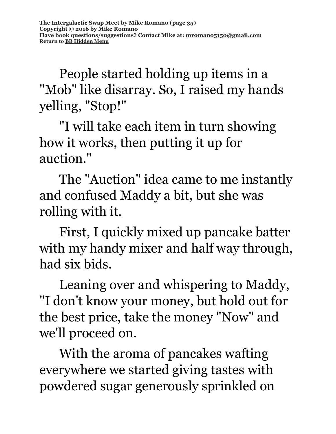People started holding up items in a "Mob" like disarray. So, I raised my hands yelling, "Stop!"

"I will take each item in turn showing how it works, then putting it up for auction."

The "Auction" idea came to me instantly and confused Maddy a bit, but she was rolling with it.

First, I quickly mixed up pancake batter with my handy mixer and half way through, had six bids.

Leaning over and whispering to Maddy, "I don't know your money, but hold out for the best price, take the money "Now" and we'll proceed on.

With the aroma of pancakes wafting everywhere we started giving tastes with powdered sugar generously sprinkled on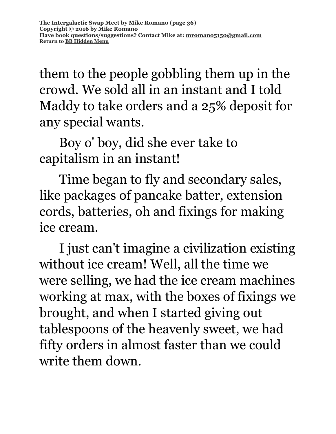them to the people gobbling them up in the crowd. We sold all in an instant and I told Maddy to take orders and a 25% deposit for any special wants.

Boy o' boy, did she ever take to capitalism in an instant!

Time began to fly and secondary sales, like packages of pancake batter, extension cords, batteries, oh and fixings for making ice cream.

I just can't imagine a civilization existing without ice cream! Well, all the time we were selling, we had the ice cream machines working at max, with the boxes of fixings we brought, and when I started giving out tablespoons of the heavenly sweet, we had fifty orders in almost faster than we could write them down.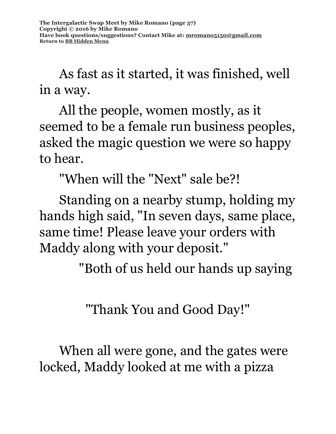As fast as it started, it was finished, well in a way.

All the people, women mostly, as it seemed to be a female run business peoples, asked the magic question we were so happy to hear.

"When will the "Next" sale be?!

Standing on a nearby stump, holding my hands high said, "In seven days, same place, same time! Please leave your orders with Maddy along with your deposit."

"Both of us held our hands up saying

"Thank You and Good Day!"

When all were gone, and the gates were locked, Maddy looked at me with a pizza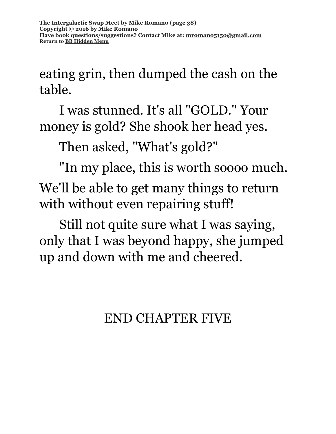eating grin, then dumped the cash on the table.

I was stunned. It's all "GOLD." Your money is gold? She shook her head yes.

Then asked, "What's gold?"

"In my place, this is worth soooo much. We'll be able to get many things to return with without even repairing stuff!

Still not quite sure what I was saying, only that I was beyond happy, she jumped up and down with me and cheered.

END CHAPTER FIVE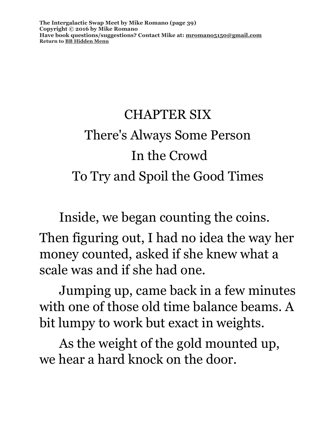**The Intergalactic Swap Meet by Mike Romano (page 39) Copyright © 2016 by Mike Romano Have book questions/suggestions? Contact Mike at: [mromano5150@gmail.com](mailto:mromano5150@gmail.com) Return t[o BB Hidden Menu](https://www.bartlettbiographies.com/hidden-menu)**

# CHAPTER SIX There's Always Some Person In the Crowd To Try and Spoil the Good Times

Inside, we began counting the coins.

Then figuring out, I had no idea the way her money counted, asked if she knew what a scale was and if she had one.

Jumping up, came back in a few minutes with one of those old time balance beams. A bit lumpy to work but exact in weights.

As the weight of the gold mounted up, we hear a hard knock on the door.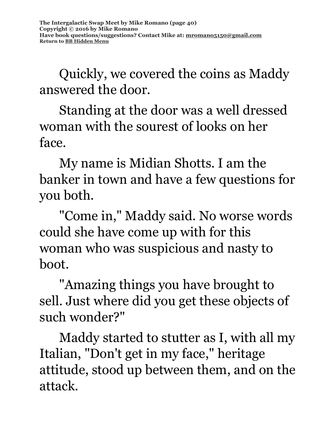Quickly, we covered the coins as Maddy answered the door.

Standing at the door was a well dressed woman with the sourest of looks on her face.

My name is Midian Shotts. I am the banker in town and have a few questions for you both.

"Come in," Maddy said. No worse words could she have come up with for this woman who was suspicious and nasty to boot.

"Amazing things you have brought to sell. Just where did you get these objects of such wonder?"

Maddy started to stutter as I, with all my Italian, "Don't get in my face," heritage attitude, stood up between them, and on the attack.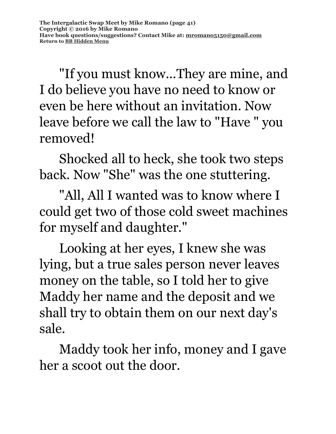"If you must know...They are mine, and I do believe you have no need to know or even be here without an invitation. Now leave before we call the law to "Have " you removed!

Shocked all to heck, she took two steps back. Now "She" was the one stuttering.

"All, All I wanted was to know where I could get two of those cold sweet machines for myself and daughter."

Looking at her eyes, I knew she was lying, but a true sales person never leaves money on the table, so I told her to give Maddy her name and the deposit and we shall try to obtain them on our next day's sale.

Maddy took her info, money and I gave her a scoot out the door.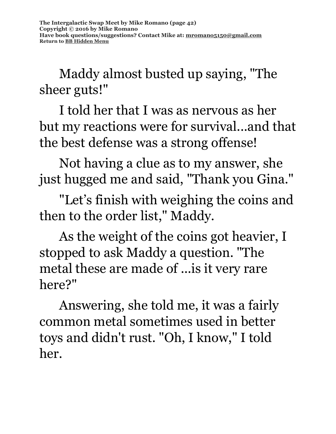Maddy almost busted up saying, "The sheer guts!"

I told her that I was as nervous as her but my reactions were for survival...and that the best defense was a strong offense!

Not having a clue as to my answer, she just hugged me and said, "Thank you Gina."

"Let's finish with weighing the coins and then to the order list," Maddy.

As the weight of the coins got heavier, I stopped to ask Maddy a question. "The metal these are made of ...is it very rare here?"

Answering, she told me, it was a fairly common metal sometimes used in better toys and didn't rust. "Oh, I know," I told her.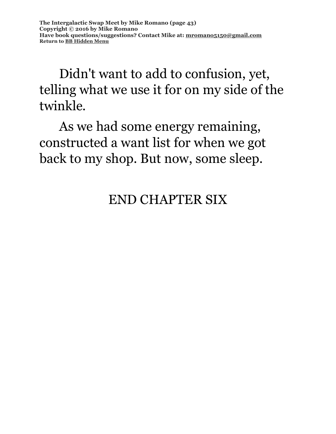Didn't want to add to confusion, yet, telling what we use it for on my side of the twinkle.

As we had some energy remaining, constructed a want list for when we got back to my shop. But now, some sleep.

### END CHAPTER SIX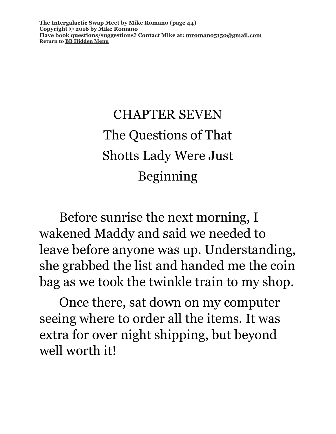**The Intergalactic Swap Meet by Mike Romano (page 44) Copyright © 2016 by Mike Romano Have book questions/suggestions? Contact Mike at: [mromano5150@gmail.com](mailto:mromano5150@gmail.com) Return t[o BB Hidden Menu](https://www.bartlettbiographies.com/hidden-menu)**

## CHAPTER SEVEN The Questions of That Shotts Lady Were Just Beginning

Before sunrise the next morning, I wakened Maddy and said we needed to leave before anyone was up. Understanding, she grabbed the list and handed me the coin bag as we took the twinkle train to my shop.

Once there, sat down on my computer seeing where to order all the items. It was extra for over night shipping, but beyond well worth it!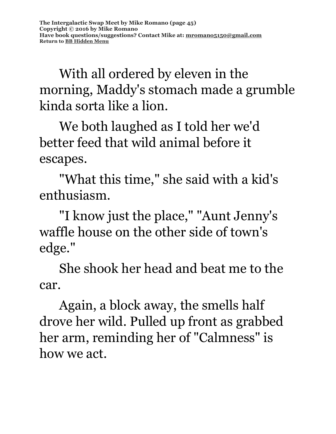With all ordered by eleven in the morning, Maddy's stomach made a grumble kinda sorta like a lion.

We both laughed as I told her we'd better feed that wild animal before it escapes.

"What this time," she said with a kid's enthusiasm.

"I know just the place," "Aunt Jenny's waffle house on the other side of town's edge."

She shook her head and beat me to the car.

Again, a block away, the smells half drove her wild. Pulled up front as grabbed her arm, reminding her of "Calmness" is how we act.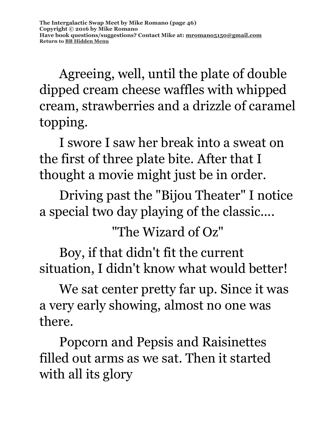Agreeing, well, until the plate of double dipped cream cheese waffles with whipped cream, strawberries and a drizzle of caramel topping.

I swore I saw her break into a sweat on the first of three plate bite. After that I thought a movie might just be in order.

Driving past the "Bijou Theater" I notice a special two day playing of the classic....

"The Wizard of Oz"

Boy, if that didn't fit the current situation, I didn't know what would better!

We sat center pretty far up. Since it was a very early showing, almost no one was there.

Popcorn and Pepsis and Raisinettes filled out arms as we sat. Then it started with all its glory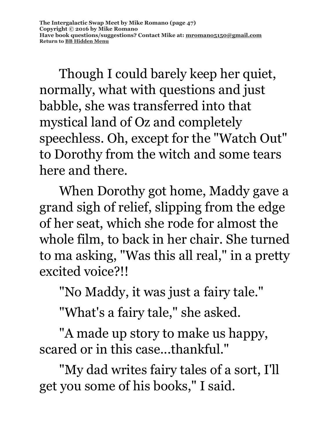Though I could barely keep her quiet, normally, what with questions and just babble, she was transferred into that mystical land of Oz and completely speechless. Oh, except for the "Watch Out" to Dorothy from the witch and some tears here and there.

When Dorothy got home, Maddy gave a grand sigh of relief, slipping from the edge of her seat, which she rode for almost the whole film, to back in her chair. She turned to ma asking, "Was this all real," in a pretty excited voice?!!

"No Maddy, it was just a fairy tale."

"What's a fairy tale," she asked.

"A made up story to make us happy, scared or in this case...thankful."

"My dad writes fairy tales of a sort, I'll get you some of his books," I said.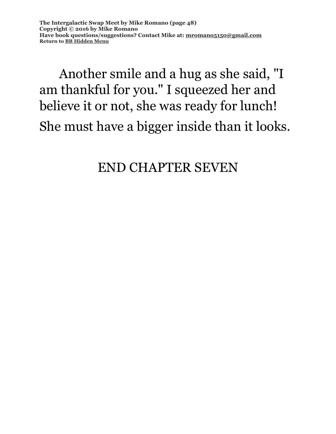### Another smile and a hug as she said, "I am thankful for you." I squeezed her and believe it or not, she was ready for lunch! She must have a bigger inside than it looks.

#### END CHAPTER SEVEN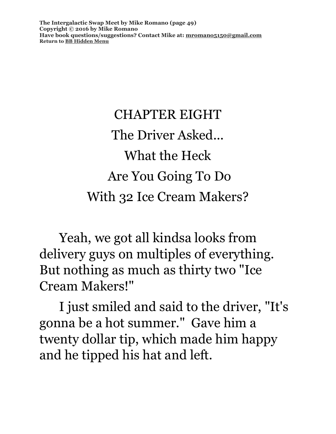**The Intergalactic Swap Meet by Mike Romano (page 49) Copyright © 2016 by Mike Romano Have book questions/suggestions? Contact Mike at: [mromano5150@gmail.com](mailto:mromano5150@gmail.com) Return t[o BB Hidden Menu](https://www.bartlettbiographies.com/hidden-menu)**

# CHAPTER EIGHT The Driver Asked... What the Heck Are You Going To Do With 32 Ice Cream Makers?

Yeah, we got all kindsa looks from delivery guys on multiples of everything. But nothing as much as thirty two "Ice Cream Makers!"

I just smiled and said to the driver, "It's gonna be a hot summer." Gave him a twenty dollar tip, which made him happy and he tipped his hat and left.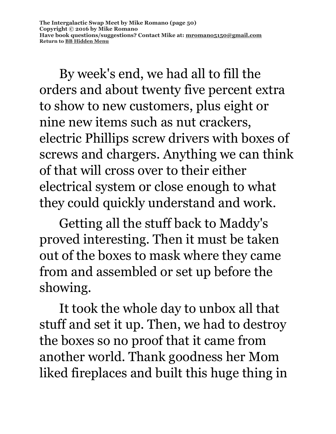By week's end, we had all to fill the orders and about twenty five percent extra to show to new customers, plus eight or nine new items such as nut crackers, electric Phillips screw drivers with boxes of screws and chargers. Anything we can think of that will cross over to their either electrical system or close enough to what they could quickly understand and work.

Getting all the stuff back to Maddy's proved interesting. Then it must be taken out of the boxes to mask where they came from and assembled or set up before the showing.

It took the whole day to unbox all that stuff and set it up. Then, we had to destroy the boxes so no proof that it came from another world. Thank goodness her Mom liked fireplaces and built this huge thing in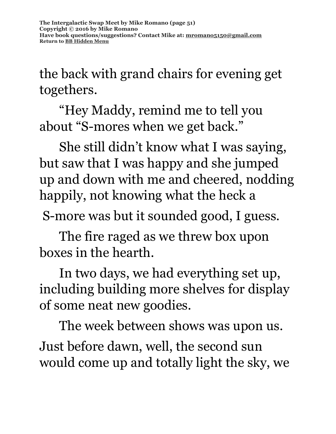the back with grand chairs for evening get togethers.

"Hey Maddy, remind me to tell you about "S-mores when we get back."

She still didn't know what I was saying, but saw that I was happy and she jumped up and down with me and cheered, nodding happily, not knowing what the heck a

S-more was but it sounded good, I guess.

The fire raged as we threw box upon boxes in the hearth.

In two days, we had everything set up, including building more shelves for display of some neat new goodies.

The week between shows was upon us. Just before dawn, well, the second sun would come up and totally light the sky, we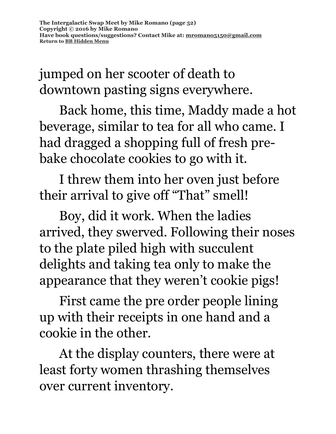jumped on her scooter of death to downtown pasting signs everywhere.

Back home, this time, Maddy made a hot beverage, similar to tea for all who came. I had dragged a shopping full of fresh prebake chocolate cookies to go with it.

I threw them into her oven just before their arrival to give off "That" smell!

Boy, did it work. When the ladies arrived, they swerved. Following their noses to the plate piled high with succulent delights and taking tea only to make the appearance that they weren't cookie pigs!

First came the pre order people lining up with their receipts in one hand and a cookie in the other.

At the display counters, there were at least forty women thrashing themselves over current inventory.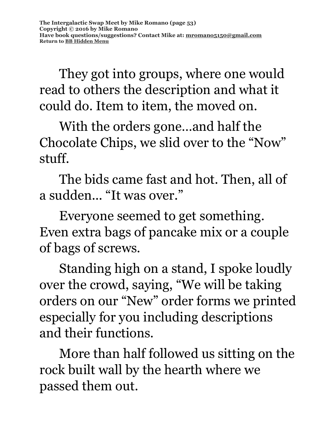They got into groups, where one would read to others the description and what it could do. Item to item, the moved on.

With the orders gone…and half the Chocolate Chips, we slid over to the "Now" stuff.

The bids came fast and hot. Then, all of a sudden... "It was over."

Everyone seemed to get something. Even extra bags of pancake mix or a couple of bags of screws.

Standing high on a stand, I spoke loudly over the crowd, saying, "We will be taking orders on our "New" order forms we printed especially for you including descriptions and their functions.

More than half followed us sitting on the rock built wall by the hearth where we passed them out.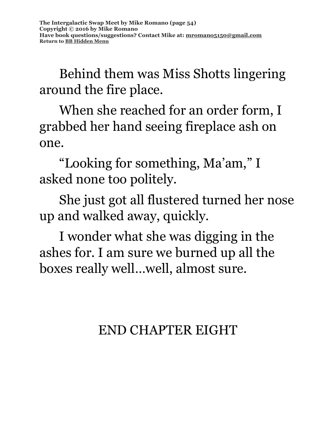Behind them was Miss Shotts lingering around the fire place.

When she reached for an order form, I grabbed her hand seeing fireplace ash on one.

"Looking for something, Ma'am," I asked none too politely.

She just got all flustered turned her nose up and walked away, quickly.

I wonder what she was digging in the ashes for. I am sure we burned up all the boxes really well…well, almost sure.

END CHAPTER EIGHT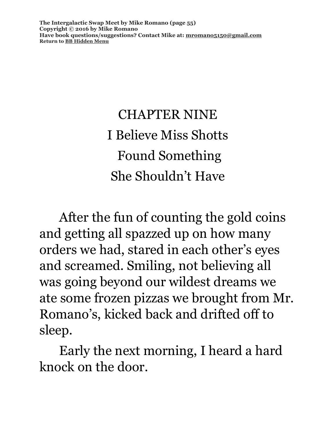**The Intergalactic Swap Meet by Mike Romano (page 55) Copyright © 2016 by Mike Romano Have book questions/suggestions? Contact Mike at: [mromano5150@gmail.com](mailto:mromano5150@gmail.com) Return t[o BB Hidden Menu](https://www.bartlettbiographies.com/hidden-menu)**

> CHAPTER NINE I Believe Miss Shotts Found Something She Shouldn't Have

After the fun of counting the gold coins and getting all spazzed up on how many orders we had, stared in each other's eyes and screamed. Smiling, not believing all was going beyond our wildest dreams we ate some frozen pizzas we brought from Mr. Romano's, kicked back and drifted off to sleep.

Early the next morning, I heard a hard knock on the door.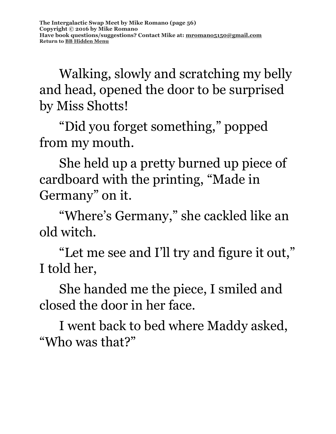Walking, slowly and scratching my belly and head, opened the door to be surprised by Miss Shotts!

"Did you forget something," popped from my mouth.

She held up a pretty burned up piece of cardboard with the printing, "Made in Germany" on it.

"Where's Germany," she cackled like an old witch.

"Let me see and I'll try and figure it out," I told her,

She handed me the piece, I smiled and closed the door in her face.

I went back to bed where Maddy asked, "Who was that?"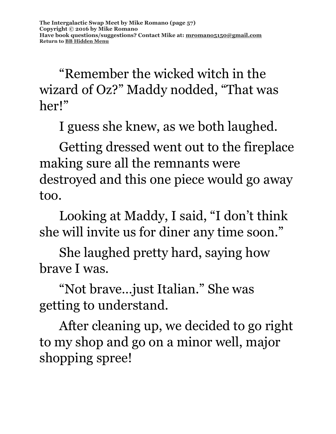"Remember the wicked witch in the wizard of Oz?" Maddy nodded, "That was her!"

I guess she knew, as we both laughed.

Getting dressed went out to the fireplace making sure all the remnants were destroyed and this one piece would go away too.

Looking at Maddy, I said, "I don't think she will invite us for diner any time soon."

She laughed pretty hard, saying how brave I was.

"Not brave…just Italian." She was getting to understand.

After cleaning up, we decided to go right to my shop and go on a minor well, major shopping spree!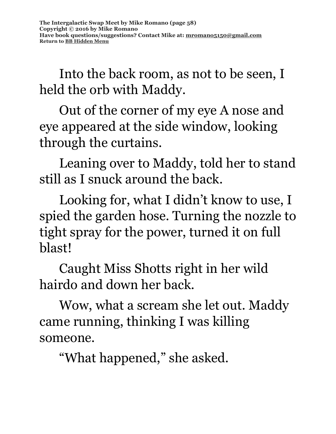Into the back room, as not to be seen, I held the orb with Maddy.

Out of the corner of my eye A nose and eye appeared at the side window, looking through the curtains.

Leaning over to Maddy, told her to stand still as I snuck around the back.

Looking for, what I didn't know to use, I spied the garden hose. Turning the nozzle to tight spray for the power, turned it on full blast!

Caught Miss Shotts right in her wild hairdo and down her back.

Wow, what a scream she let out. Maddy came running, thinking I was killing someone.

"What happened," she asked.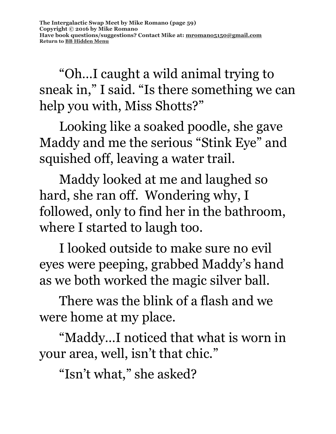"Oh…I caught a wild animal trying to sneak in," I said. "Is there something we can help you with, Miss Shotts?"

Looking like a soaked poodle, she gave Maddy and me the serious "Stink Eye" and squished off, leaving a water trail.

Maddy looked at me and laughed so hard, she ran off. Wondering why, I followed, only to find her in the bathroom, where I started to laugh too.

I looked outside to make sure no evil eyes were peeping, grabbed Maddy's hand as we both worked the magic silver ball.

There was the blink of a flash and we were home at my place.

"Maddy…I noticed that what is worn in your area, well, isn't that chic."

"Isn't what," she asked?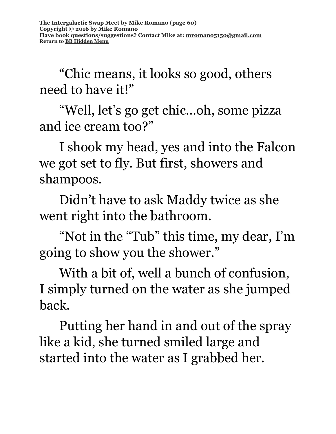"Chic means, it looks so good, others need to have it!"

"Well, let's go get chic…oh, some pizza and ice cream too?"

I shook my head, yes and into the Falcon we got set to fly. But first, showers and shampoos.

Didn't have to ask Maddy twice as she went right into the bathroom.

"Not in the "Tub" this time, my dear, I'm going to show you the shower."

With a bit of, well a bunch of confusion, I simply turned on the water as she jumped back.

Putting her hand in and out of the spray like a kid, she turned smiled large and started into the water as I grabbed her.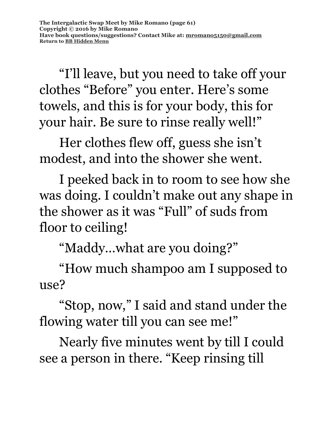"I'll leave, but you need to take off your clothes "Before" you enter. Here's some towels, and this is for your body, this for your hair. Be sure to rinse really well!"

Her clothes flew off, guess she isn't modest, and into the shower she went.

I peeked back in to room to see how she was doing. I couldn't make out any shape in the shower as it was "Full" of suds from floor to ceiling!

"Maddy…what are you doing?"

"How much shampoo am I supposed to use?

"Stop, now," I said and stand under the flowing water till you can see me!"

Nearly five minutes went by till I could see a person in there. "Keep rinsing till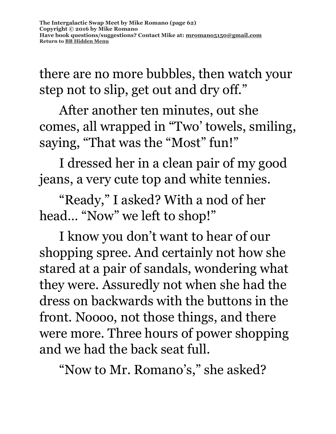there are no more bubbles, then watch your step not to slip, get out and dry off."

After another ten minutes, out she comes, all wrapped in "Two' towels, smiling, saying, "That was the "Most" fun!"

I dressed her in a clean pair of my good jeans, a very cute top and white tennies.

"Ready," I asked? With a nod of her head… "Now" we left to shop!"

I know you don't want to hear of our shopping spree. And certainly not how she stared at a pair of sandals, wondering what they were. Assuredly not when she had the dress on backwards with the buttons in the front. Noooo, not those things, and there were more. Three hours of power shopping and we had the back seat full.

"Now to Mr. Romano's," she asked?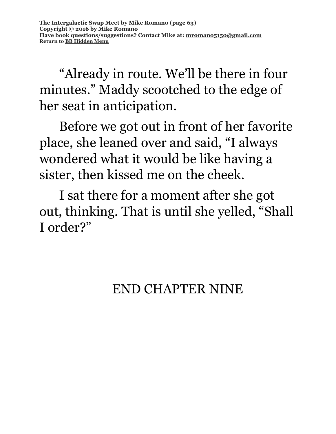"Already in route. We'll be there in four minutes." Maddy scootched to the edge of her seat in anticipation.

Before we got out in front of her favorite place, she leaned over and said, "I always wondered what it would be like having a sister, then kissed me on the cheek.

I sat there for a moment after she got out, thinking. That is until she yelled, "Shall I order?"

### END CHAPTER NINE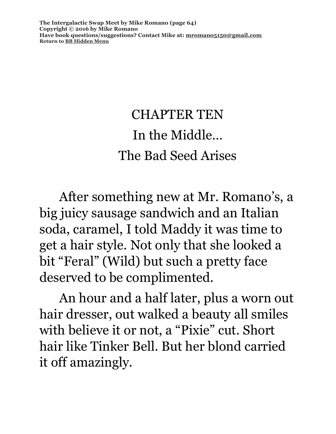**The Intergalactic Swap Meet by Mike Romano (page 64) Copyright © 2016 by Mike Romano Have book questions/suggestions? Contact Mike at: [mromano5150@gmail.com](mailto:mromano5150@gmail.com) Return t[o BB Hidden Menu](https://www.bartlettbiographies.com/hidden-menu)**

### CHAPTER TEN In the Middle… The Bad Seed Arises

After something new at Mr. Romano's, a big juicy sausage sandwich and an Italian soda, caramel, I told Maddy it was time to get a hair style. Not only that she looked a bit "Feral" (Wild) but such a pretty face deserved to be complimented.

An hour and a half later, plus a worn out hair dresser, out walked a beauty all smiles with believe it or not, a "Pixie" cut. Short hair like Tinker Bell. But her blond carried it off amazingly.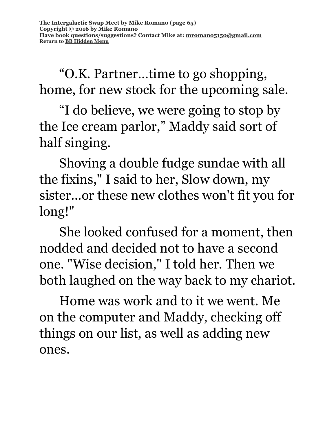"O.K. Partner…time to go shopping, home, for new stock for the upcoming sale.

"I do believe, we were going to stop by the Ice cream parlor," Maddy said sort of half singing.

Shoving a double fudge sundae with all the fixins," I said to her, Slow down, my sister...or these new clothes won't fit you for long!"

She looked confused for a moment, then nodded and decided not to have a second one. "Wise decision," I told her. Then we both laughed on the way back to my chariot.

Home was work and to it we went. Me on the computer and Maddy, checking off things on our list, as well as adding new ones.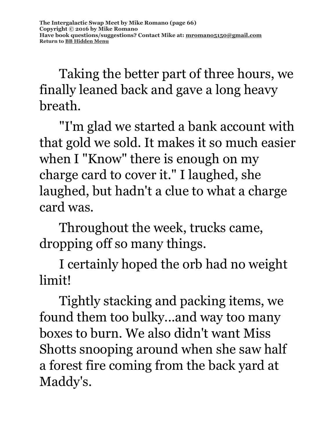Taking the better part of three hours, we finally leaned back and gave a long heavy breath.

"I'm glad we started a bank account with that gold we sold. It makes it so much easier when I "Know" there is enough on my charge card to cover it." I laughed, she laughed, but hadn't a clue to what a charge card was.

Throughout the week, trucks came, dropping off so many things.

I certainly hoped the orb had no weight limit!

Tightly stacking and packing items, we found them too bulky...and way too many boxes to burn. We also didn't want Miss Shotts snooping around when she saw half a forest fire coming from the back yard at Maddy's.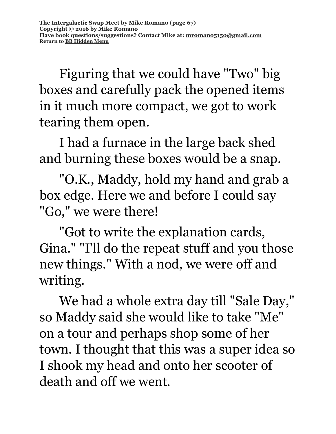Figuring that we could have "Two" big boxes and carefully pack the opened items in it much more compact, we got to work tearing them open.

I had a furnace in the large back shed and burning these boxes would be a snap.

"O.K., Maddy, hold my hand and grab a box edge. Here we and before I could say "Go," we were there!

"Got to write the explanation cards, Gina." "I'll do the repeat stuff and you those new things." With a nod, we were off and writing.

We had a whole extra day till "Sale Day," so Maddy said she would like to take "Me" on a tour and perhaps shop some of her town. I thought that this was a super idea so I shook my head and onto her scooter of death and off we went.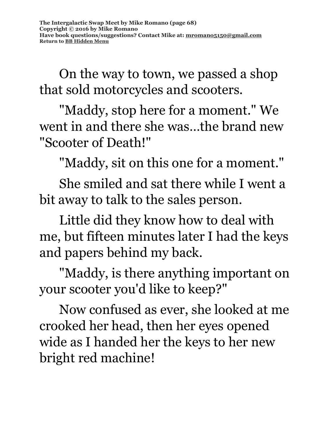On the way to town, we passed a shop that sold motorcycles and scooters.

"Maddy, stop here for a moment." We went in and there she was…the brand new "Scooter of Death!"

"Maddy, sit on this one for a moment."

She smiled and sat there while I went a bit away to talk to the sales person.

Little did they know how to deal with me, but fifteen minutes later I had the keys and papers behind my back.

"Maddy, is there anything important on your scooter you'd like to keep?"

Now confused as ever, she looked at me crooked her head, then her eyes opened wide as I handed her the keys to her new bright red machine!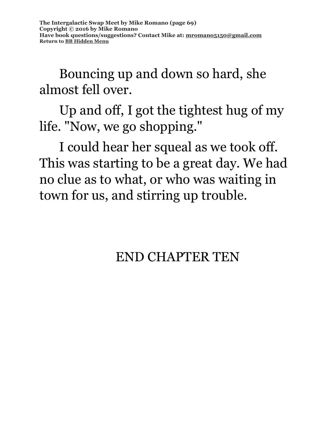Bouncing up and down so hard, she almost fell over.

Up and off, I got the tightest hug of my life. "Now, we go shopping."

I could hear her squeal as we took off. This was starting to be a great day. We had no clue as to what, or who was waiting in town for us, and stirring up trouble.

### END CHAPTER TEN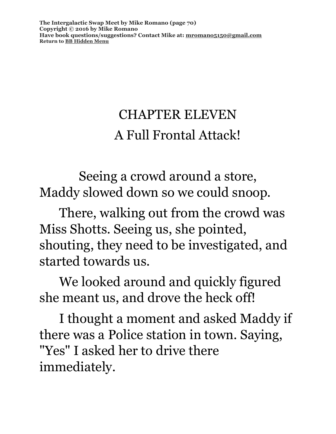**The Intergalactic Swap Meet by Mike Romano (page 70) Copyright © 2016 by Mike Romano Have book questions/suggestions? Contact Mike at: [mromano5150@gmail.com](mailto:mromano5150@gmail.com) Return t[o BB Hidden Menu](https://www.bartlettbiographies.com/hidden-menu)**

### CHAPTER ELEVEN A Full Frontal Attack!

Seeing a crowd around a store, Maddy slowed down so we could snoop.

There, walking out from the crowd was Miss Shotts. Seeing us, she pointed, shouting, they need to be investigated, and started towards us.

We looked around and quickly figured she meant us, and drove the heck off!

I thought a moment and asked Maddy if there was a Police station in town. Saying, "Yes" I asked her to drive there immediately.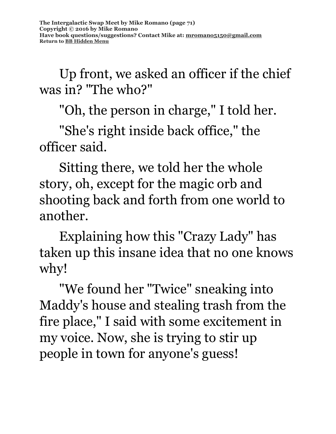Up front, we asked an officer if the chief was in? "The who?"

"Oh, the person in charge," I told her.

"She's right inside back office," the officer said.

Sitting there, we told her the whole story, oh, except for the magic orb and shooting back and forth from one world to another.

Explaining how this "Crazy Lady" has taken up this insane idea that no one knows why!

"We found her "Twice" sneaking into Maddy's house and stealing trash from the fire place," I said with some excitement in my voice. Now, she is trying to stir up people in town for anyone's guess!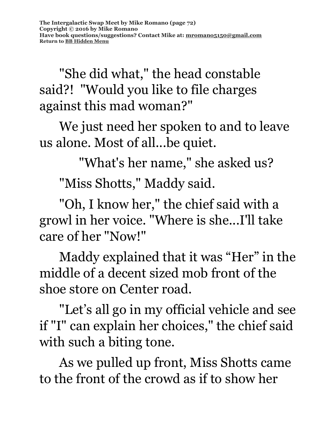"She did what," the head constable said?! "Would you like to file charges against this mad woman?"

We just need her spoken to and to leave us alone. Most of all...be quiet.

"What's her name," she asked us?

"Miss Shotts," Maddy said.

"Oh, I know her," the chief said with a growl in her voice. "Where is she...I'll take care of her "Now!"

Maddy explained that it was "Her" in the middle of a decent sized mob front of the shoe store on Center road.

"Let's all go in my official vehicle and see if "I" can explain her choices," the chief said with such a biting tone.

As we pulled up front, Miss Shotts came to the front of the crowd as if to show her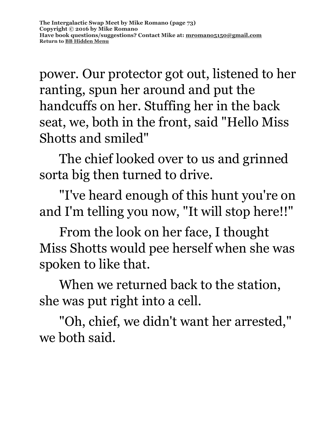power. Our protector got out, listened to her ranting, spun her around and put the handcuffs on her. Stuffing her in the back seat, we, both in the front, said "Hello Miss Shotts and smiled"

The chief looked over to us and grinned sorta big then turned to drive.

"I've heard enough of this hunt you're on and I'm telling you now, "It will stop here!!"

From the look on her face, I thought Miss Shotts would pee herself when she was spoken to like that.

When we returned back to the station, she was put right into a cell.

"Oh, chief, we didn't want her arrested," we both said.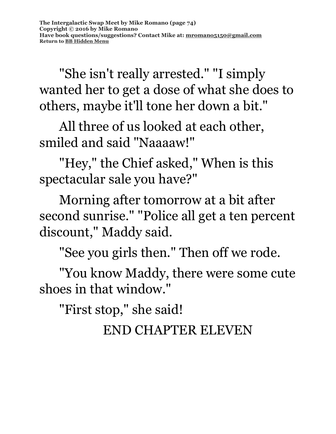"She isn't really arrested." "I simply wanted her to get a dose of what she does to others, maybe it'll tone her down a bit."

All three of us looked at each other, smiled and said "Naaaaw!"

"Hey," the Chief asked," When is this spectacular sale you have?"

Morning after tomorrow at a bit after second sunrise." "Police all get a ten percent discount," Maddy said.

"See you girls then." Then off we rode.

"You know Maddy, there were some cute shoes in that window."

"First stop," she said!

END CHAPTER ELEVEN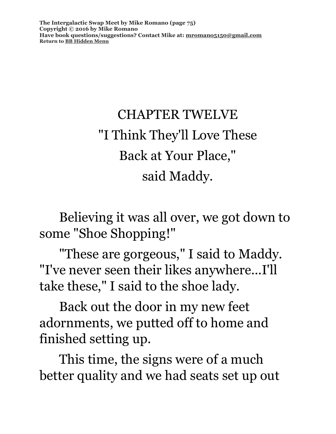**The Intergalactic Swap Meet by Mike Romano (page 75) Copyright © 2016 by Mike Romano Have book questions/suggestions? Contact Mike at: [mromano5150@gmail.com](mailto:mromano5150@gmail.com) Return t[o BB Hidden Menu](https://www.bartlettbiographies.com/hidden-menu)**

# CHAPTER TWELVE "I Think They'll Love These Back at Your Place," said Maddy.

Believing it was all over, we got down to some "Shoe Shopping!"

"These are gorgeous," I said to Maddy. "I've never seen their likes anywhere...I'll take these," I said to the shoe lady.

Back out the door in my new feet adornments, we putted off to home and finished setting up.

This time, the signs were of a much better quality and we had seats set up out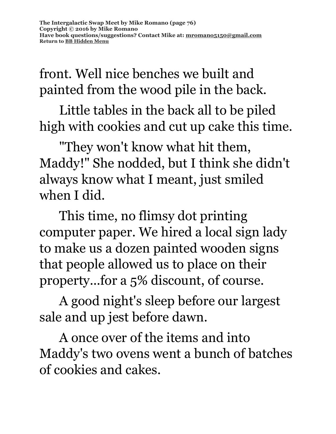front. Well nice benches we built and painted from the wood pile in the back.

Little tables in the back all to be piled high with cookies and cut up cake this time.

"They won't know what hit them, Maddy!" She nodded, but I think she didn't always know what I meant, just smiled when I did.

This time, no flimsy dot printing computer paper. We hired a local sign lady to make us a dozen painted wooden signs that people allowed us to place on their property...for a 5% discount, of course.

A good night's sleep before our largest sale and up jest before dawn.

A once over of the items and into Maddy's two ovens went a bunch of batches of cookies and cakes.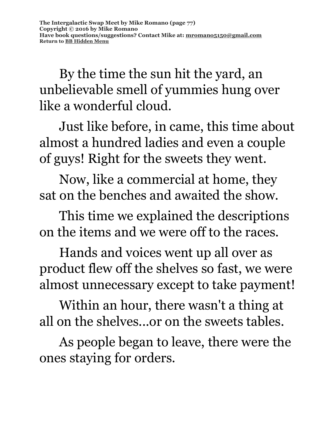By the time the sun hit the yard, an unbelievable smell of yummies hung over like a wonderful cloud.

Just like before, in came, this time about almost a hundred ladies and even a couple of guys! Right for the sweets they went.

Now, like a commercial at home, they sat on the benches and awaited the show.

This time we explained the descriptions on the items and we were off to the races.

Hands and voices went up all over as product flew off the shelves so fast, we were almost unnecessary except to take payment!

Within an hour, there wasn't a thing at all on the shelves...or on the sweets tables.

As people began to leave, there were the ones staying for orders.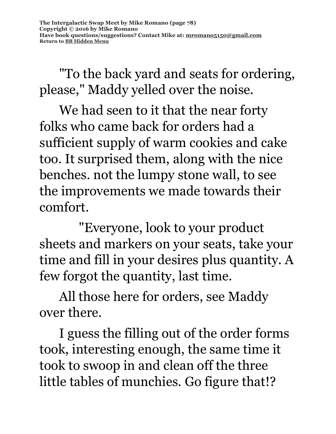"To the back yard and seats for ordering, please," Maddy yelled over the noise.

We had seen to it that the near forty folks who came back for orders had a sufficient supply of warm cookies and cake too. It surprised them, along with the nice benches. not the lumpy stone wall, to see the improvements we made towards their comfort.

"Everyone, look to your product sheets and markers on your seats, take your time and fill in your desires plus quantity. A few forgot the quantity, last time.

All those here for orders, see Maddy over there.

I guess the filling out of the order forms took, interesting enough, the same time it took to swoop in and clean off the three little tables of munchies. Go figure that!?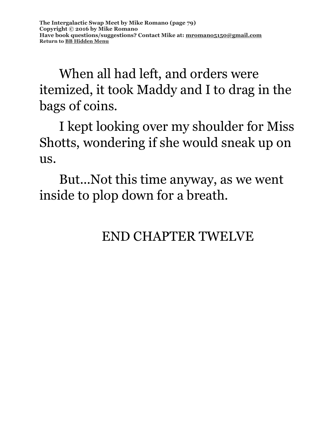When all had left, and orders were itemized, it took Maddy and I to drag in the bags of coins.

I kept looking over my shoulder for Miss Shotts, wondering if she would sneak up on us.

But...Not this time anyway, as we went inside to plop down for a breath.

#### END CHAPTER TWELVE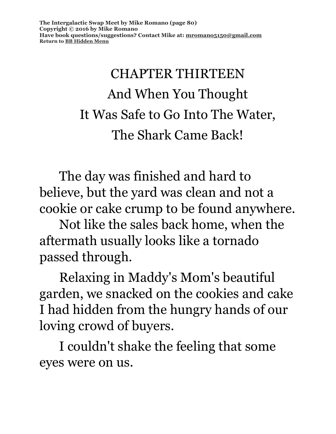# CHAPTER THIRTEEN And When You Thought It Was Safe to Go Into The Water, The Shark Came Back!

The day was finished and hard to believe, but the yard was clean and not a cookie or cake crump to be found anywhere.

Not like the sales back home, when the aftermath usually looks like a tornado passed through.

Relaxing in Maddy's Mom's beautiful garden, we snacked on the cookies and cake I had hidden from the hungry hands of our loving crowd of buyers.

I couldn't shake the feeling that some eyes were on us.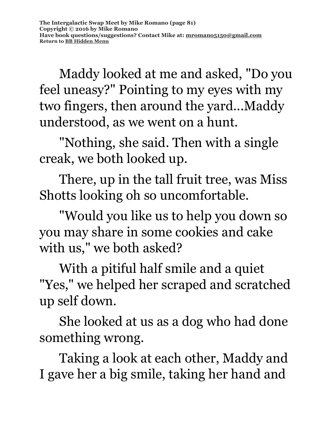Maddy looked at me and asked, "Do you feel uneasy?" Pointing to my eyes with my two fingers, then around the yard...Maddy understood, as we went on a hunt.

"Nothing, she said. Then with a single creak, we both looked up.

There, up in the tall fruit tree, was Miss Shotts looking oh so uncomfortable.

"Would you like us to help you down so you may share in some cookies and cake with us," we both asked?

With a pitiful half smile and a quiet "Yes," we helped her scraped and scratched up self down.

She looked at us as a dog who had done something wrong.

Taking a look at each other, Maddy and I gave her a big smile, taking her hand and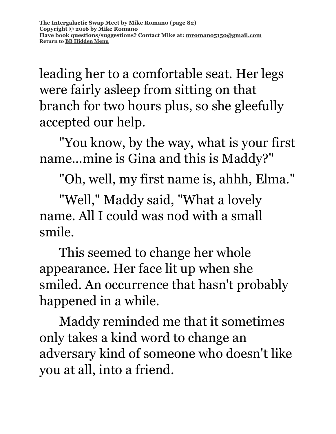leading her to a comfortable seat. Her legs were fairly asleep from sitting on that branch for two hours plus, so she gleefully accepted our help.

"You know, by the way, what is your first name...mine is Gina and this is Maddy?"

"Oh, well, my first name is, ahhh, Elma."

"Well," Maddy said, "What a lovely name. All I could was nod with a small smile.

This seemed to change her whole appearance. Her face lit up when she smiled. An occurrence that hasn't probably happened in a while.

Maddy reminded me that it sometimes only takes a kind word to change an adversary kind of someone who doesn't like you at all, into a friend.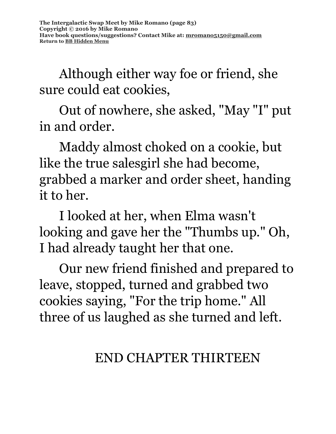Although either way foe or friend, she sure could eat cookies,

Out of nowhere, she asked, "May "I" put in and order.

Maddy almost choked on a cookie, but like the true salesgirl she had become, grabbed a marker and order sheet, handing it to her.

I looked at her, when Elma wasn't looking and gave her the "Thumbs up." Oh, I had already taught her that one.

Our new friend finished and prepared to leave, stopped, turned and grabbed two cookies saying, "For the trip home." All three of us laughed as she turned and left.

### END CHAPTER THIRTEEN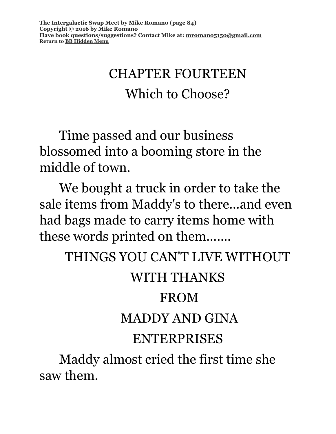### CHAPTER FOURTEEN Which to Choose?

Time passed and our business blossomed into a booming store in the middle of town.

We bought a truck in order to take the sale items from Maddy's to there...and even had bags made to carry items home with these words printed on them.......

THINGS YOU CAN'T LIVE WITHOUT

#### WITH THANKS

#### FROM

#### MADDY AND GINA

#### ENTERPRISES

Maddy almost cried the first time she saw them.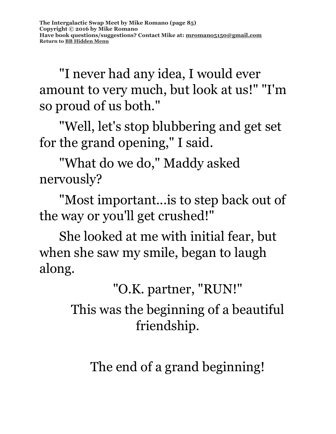"I never had any idea, I would ever amount to very much, but look at us!" "I'm so proud of us both."

"Well, let's stop blubbering and get set for the grand opening," I said.

"What do we do," Maddy asked nervously?

"Most important...is to step back out of the way or you'll get crushed!"

She looked at me with initial fear, but when she saw my smile, began to laugh along.

"O.K. partner, "RUN!"

This was the beginning of a beautiful friendship.

The end of a grand beginning!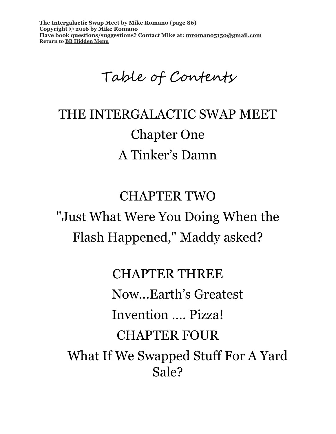**The Intergalactic Swap Meet by Mike Romano (page 86) Copyright © 2016 by Mike Romano Have book questions/suggestions? Contact Mike at: [mromano5150@gmail.com](mailto:mromano5150@gmail.com) Return t[o BB Hidden Menu](https://www.bartlettbiographies.com/hidden-menu)**

Table of Contents

## THE INTERGALACTIC SWAP MEET Chapter One A Tinker's Damn

CHAPTER TWO "Just What Were You Doing When the Flash Happened," Maddy asked?

CHAPTER THREE Now...Earth's Greatest Invention …. Pizza! CHAPTER FOUR What If We Swapped Stuff For A Yard

Sale?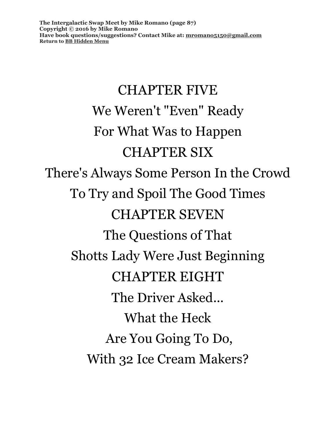# CHAPTER FIVE We Weren't "Even" Ready For What Was to Happen CHAPTER SIX There's Always Some Person In the Crowd To Try and Spoil The Good Times CHAPTER SEVEN The Questions of That Shotts Lady Were Just Beginning CHAPTER EIGHT The Driver Asked... What the Heck Are You Going To Do, With 32 Ice Cream Makers?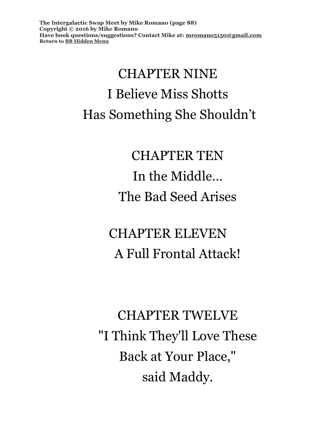**The Intergalactic Swap Meet by Mike Romano (page 88) Copyright © 2016 by Mike Romano Have book questions/suggestions? Contact Mike at: [mromano5150@gmail.com](mailto:mromano5150@gmail.com) Return t[o BB Hidden Menu](https://www.bartlettbiographies.com/hidden-menu)**

# CHAPTER NINE I Believe Miss Shotts Has Something She Shouldn't

CHAPTER TEN In the Middle… The Bad Seed Arises

CHAPTER ELEVEN A Full Frontal Attack!

CHAPTER TWELVE "I Think They'll Love These Back at Your Place," said Maddy.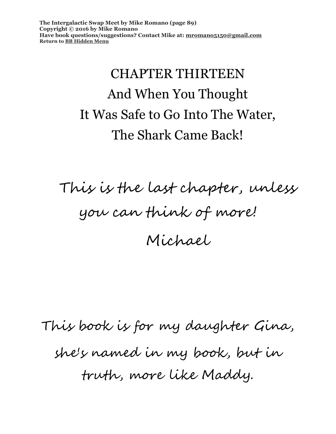**The Intergalactic Swap Meet by Mike Romano (page 89) Copyright © 2016 by Mike Romano Have book questions/suggestions? Contact Mike at: [mromano5150@gmail.com](mailto:mromano5150@gmail.com) Return t[o BB Hidden Menu](https://www.bartlettbiographies.com/hidden-menu)**

# CHAPTER THIRTEEN And When You Thought It Was Safe to Go Into The Water, The Shark Came Back!

This is the last chapter, unless you can think of more! Michael

This book is for my daughter Gina, she's named in my book, but in truth, more like Maddy.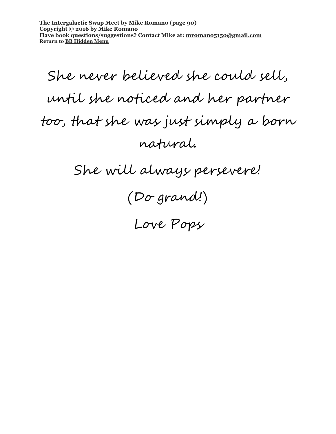**The Intergalactic Swap Meet by Mike Romano (page 90) Copyright © 2016 by Mike Romano Have book questions/suggestions? Contact Mike at: [mromano5150@gmail.com](mailto:mromano5150@gmail.com) Return t[o BB Hidden Menu](https://www.bartlettbiographies.com/hidden-menu)**

She never believed she could sell, until she noticed and her partner too, that she was just simply a born natural.

She will always persevere!

(Do grand!)

Love Pops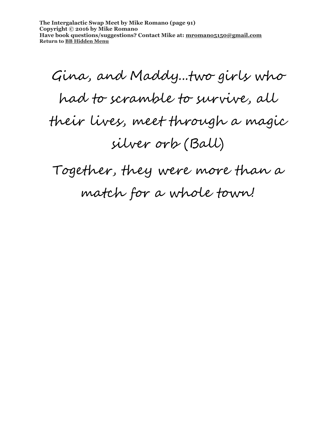**The Intergalactic Swap Meet by Mike Romano (page 91) Copyright © 2016 by Mike Romano Have book questions/suggestions? Contact Mike at: [mromano5150@gmail.com](mailto:mromano5150@gmail.com) Return t[o BB Hidden Menu](https://www.bartlettbiographies.com/hidden-menu)**

Gina, and Maddy...two girls who had to scramble to survive, all their lives, meet through a magic silver orb (Ball)

Together, they were more than a match for a whole town!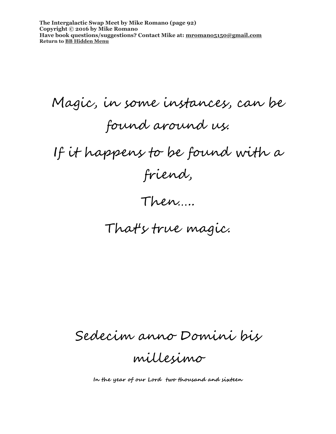**The Intergalactic Swap Meet by Mike Romano (page 92) Copyright © 2016 by Mike Romano Have book questions/suggestions? Contact Mike at: [mromano5150@gmail.com](mailto:mromano5150@gmail.com) Return t[o BB Hidden Menu](https://www.bartlettbiographies.com/hidden-menu)**

Magic, in some instances, can be found around us. If it happens to be found with a friend,

#### Then…..

### That's true magic.

Sedecim anno Domini bis

millesimo

**In the year of our Lord two thousand and sixteen**